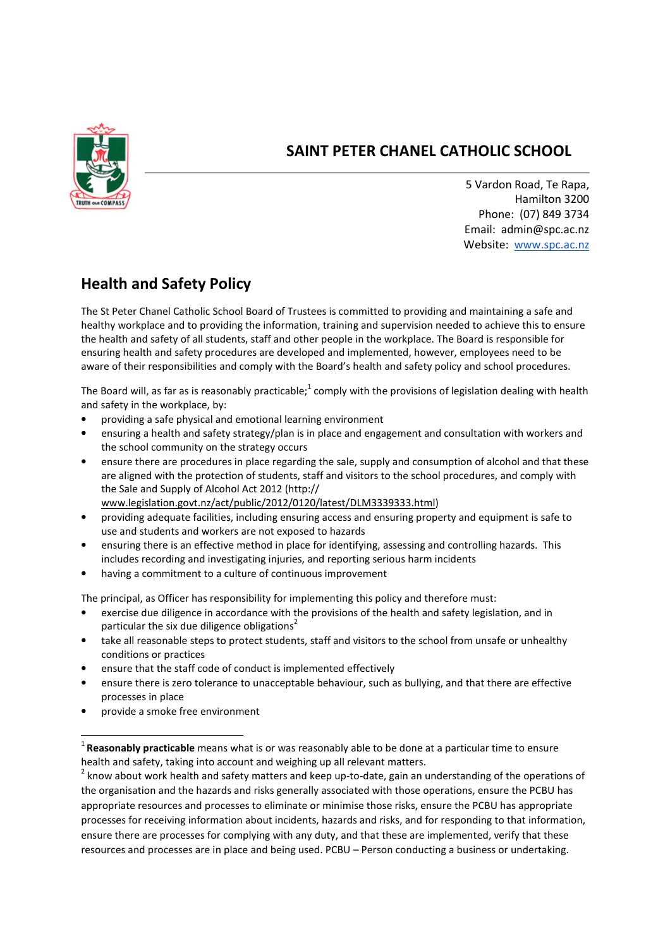

## SAINT PETER CHANEL CATHOLIC SCHOOL

5 Vardon Road, Te Rapa, Hamilton 3200 Phone: (07) 849 3734 Email: admin@spc.ac.nz Website: www.spc.ac.nz

## Health and Safety Policy

The St Peter Chanel Catholic School Board of Trustees is committed to providing and maintaining a safe and healthy workplace and to providing the information, training and supervision needed to achieve this to ensure the health and safety of all students, staff and other people in the workplace. The Board is responsible for ensuring health and safety procedures are developed and implemented, however, employees need to be aware of their responsibilities and comply with the Board's health and safety policy and school procedures.

The Board will, as far as is reasonably practicable;<sup>1</sup> comply with the provisions of legislation dealing with health and safety in the workplace, by:

- providing a safe physical and emotional learning environment
- ensuring a health and safety strategy/plan is in place and engagement and consultation with workers and the school community on the strategy occurs
- ensure there are procedures in place regarding the sale, supply and consumption of alcohol and that these are aligned with the protection of students, staff and visitors to the school procedures, and comply with the Sale and Supply of Alcohol Act 2012 (http:// www.legislation.govt.nz/act/public/2012/0120/latest/DLM3339333.html)
- providing adequate facilities, including ensuring access and ensuring property and equipment is safe to use and students and workers are not exposed to hazards
- ensuring there is an effective method in place for identifying, assessing and controlling hazards. This includes recording and investigating injuries, and reporting serious harm incidents
- having a commitment to a culture of continuous improvement

The principal, as Officer has responsibility for implementing this policy and therefore must:

- exercise due diligence in accordance with the provisions of the health and safety legislation, and in particular the six due diligence obligations<sup>2</sup>
- take all reasonable steps to protect students, staff and visitors to the school from unsafe or unhealthy conditions or practices
- ensure that the staff code of conduct is implemented effectively
- ensure there is zero tolerance to unacceptable behaviour, such as bullying, and that there are effective processes in place
- provide a smoke free environment

 $\overline{\phantom{0}}$ 

 $^1$  Reasonably practicable means what is or was reasonably able to be done at a particular time to ensure health and safety, taking into account and weighing up all relevant matters.

 $^2$  know about work health and safety matters and keep up-to-date, gain an understanding of the operations of the organisation and the hazards and risks generally associated with those operations, ensure the PCBU has appropriate resources and processes to eliminate or minimise those risks, ensure the PCBU has appropriate processes for receiving information about incidents, hazards and risks, and for responding to that information, ensure there are processes for complying with any duty, and that these are implemented, verify that these resources and processes are in place and being used. PCBU – Person conducting a business or undertaking.